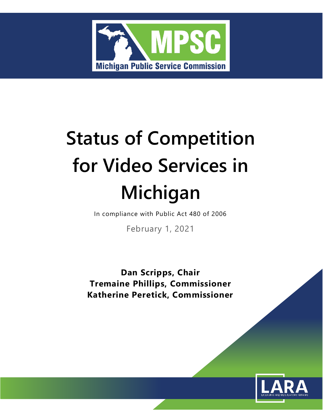

# **Status of Competition for Video Services in Michigan**

In compliance with Public Act 480 of 2006

February 1, 2021

**Dan Scripps, Chair Tremaine Phillips, Commissioner Katherine Peretick, Commissioner**

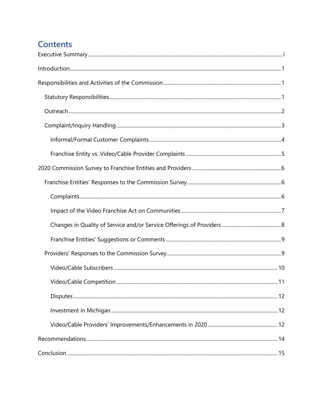# **Contents**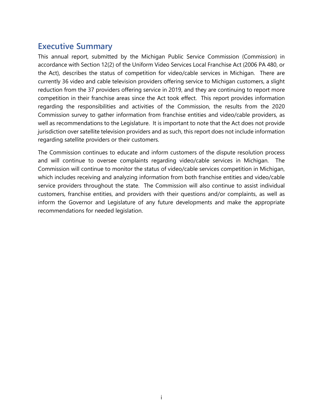## <span id="page-3-0"></span>**Executive Summary**

This annual report, submitted by the Michigan Public Service Commission (Commission) in accordance with Section 12(2) of the Uniform Video Services Local Franchise Act (2006 PA 480, or the Act), describes the status of competition for video/cable services in Michigan. There are currently 36 video and cable television providers offering service to Michigan customers, a slight reduction from the 37 providers offering service in 2019, and they are continuing to report more competition in their franchise areas since the Act took effect. This report provides information regarding the responsibilities and activities of the Commission, the results from the 2020 Commission survey to gather information from franchise entities and video/cable providers, as well as recommendations to the Legislature. It is important to note that the Act does not provide jurisdiction over satellite television providers and as such, this report does not include information regarding satellite providers or their customers.

The Commission continues to educate and inform customers of the dispute resolution process and will continue to oversee complaints regarding video/cable services in Michigan. The Commission will continue to monitor the status of video/cable services competition in Michigan, which includes receiving and analyzing information from both franchise entities and video/cable service providers throughout the state. The Commission will also continue to assist individual customers, franchise entities, and providers with their questions and/or complaints, as well as inform the Governor and Legislature of any future developments and make the appropriate recommendations for needed legislation.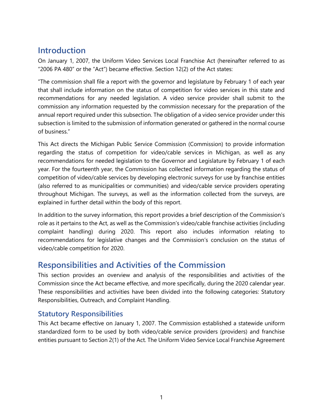# <span id="page-4-0"></span>**Introduction**

On January 1, 2007, the Uniform Video Services Local Franchise Act (hereinafter referred to as "2006 PA 480" or the "Act") became effective. Section 12(2) of the Act states:

"The commission shall file a report with the governor and legislature by February 1 of each year that shall include information on the status of competition for video services in this state and recommendations for any needed legislation. A video service provider shall submit to the commission any information requested by the commission necessary for the preparation of the annual report required under this subsection. The obligation of a video service provider under this subsection is limited to the submission of information generated or gathered in the normal course of business."

This Act directs the Michigan Public Service Commission (Commission) to provide information regarding the status of competition for video/cable services in Michigan, as well as any recommendations for needed legislation to the Governor and Legislature by February 1 of each year. For the fourteenth year, the Commission has collected information regarding the status of competition of video/cable services by developing electronic surveys for use by franchise entities (also referred to as municipalities or communities) and video/cable service providers operating throughout Michigan. The surveys, as well as the information collected from the surveys, are explained in further detail within the body of this report.

In addition to the survey information, this report provides a brief description of the Commission's role as it pertains to the Act, as well as the Commission's video/cable franchise activities (including complaint handling) during 2020. This report also includes information relating to recommendations for legislative changes and the Commission's conclusion on the status of video/cable competition for 2020.

# <span id="page-4-1"></span>**Responsibilities and Activities of the Commission**

This section provides an overview and analysis of the responsibilities and activities of the Commission since the Act became effective, and more specifically, during the 2020 calendar year. These responsibilities and activities have been divided into the following categories: Statutory Responsibilities, Outreach, and Complaint Handling.

## <span id="page-4-2"></span>**Statutory Responsibilities**

This Act became effective on January 1, 2007. The Commission established a statewide uniform standardized form to be used by both video/cable service providers (providers) and franchise entities pursuant to Section 2(1) of the Act. The Uniform Video Service Local Franchise Agreement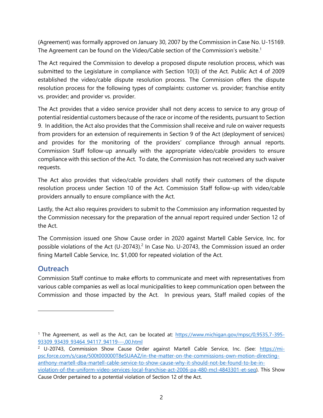(Agreement) was formally approved on January 30, 2007 by the Commission in Case No. U-15169. The Agreement can be found on the Video/Cable section of the Commission's website.<sup>1</sup>

The Act required the Commission to develop a proposed dispute resolution process, which was submitted to the Legislature in compliance with Section 10(3) of the Act. Public Act 4 of 2009 established the video/cable dispute resolution process. The Commission offers the dispute resolution process for the following types of complaints: customer vs. provider; franchise entity vs. provider; and provider vs. provider.

The Act provides that a video service provider shall not deny access to service to any group of potential residential customers because of the race or income of the residents, pursuant to Section 9. In addition, the Act also provides that the Commission shall receive and rule on waiver requests from providers for an extension of requirements in Section 9 of the Act (deployment of services) and provides for the monitoring of the providers' compliance through annual reports. Commission Staff follow-up annually with the appropriate video/cable providers to ensure compliance with this section of the Act. To date, the Commission has not received any such waiver requests.

The Act also provides that video/cable providers shall notify their customers of the dispute resolution process under Section 10 of the Act. Commission Staff follow-up with video/cable providers annually to ensure compliance with the Act.

Lastly, the Act also requires providers to submit to the Commission any information requested by the Commission necessary for the preparation of the annual report required under Section 12 of the Act.

The Commission issued one Show Cause order in 2020 against Martell Cable Service, Inc. for possible violations of the Act (U-20743).<sup>2</sup> In Case No. U-20743, the Commission issued an order fining Martell Cable Service, Inc. \$1,000 for repeated violation of the Act.

## <span id="page-5-0"></span>**Outreach**

Commission Staff continue to make efforts to communicate and meet with representatives from various cable companies as well as local municipalities to keep communication open between the Commission and those impacted by the Act. In previous years, Staff mailed copies of the

<sup>&</sup>lt;sup>1</sup> The Agreement, as well as the Act, can be located at: [https://www.michigan.gov/mpsc/0,9535,7-395-](https://www.michigan.gov/mpsc/0,9535,7-395-93309_93439_93464_94117_94119---,00.html) [93309\\_93439\\_93464\\_94117\\_94119---,00.html](https://www.michigan.gov/mpsc/0,9535,7-395-93309_93439_93464_94117_94119---,00.html) 

<sup>&</sup>lt;sup>2</sup> U-20743, Commission Show Cause Order against Martell Cable Service, Inc. (See: https://mipsc.force.com/s/case/500t000000T8eSUAAZ/in-the-matter-on-the-commissions-own-motion-directinganthony-martell-dba-martell-cable-service-to-show-cause-why-it-should-not-be-found-to-be-inviolation-of-the-uniform-video-services-local-franchise-act-2006-pa-480-mcl-4843301-et-seq). This Show Cause Order pertained to a potential violation of Section 12 of the Act.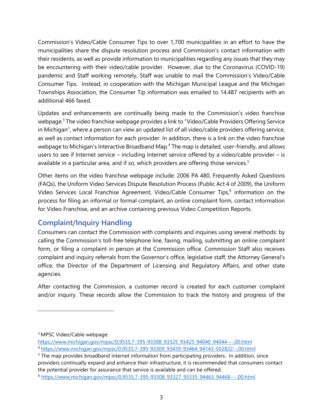Commission's Video/Cable Consumer Tips to over 1,700 municipalities in an effort to have the municipalities share the dispute resolution process and Commission's contact information with their residents, as well as provide information to municipalities regarding any issues that they may be encountering with their video/cable provider. However, due to the Coronavirus (COVID-19) pandemic and Staff working remotely, Staff was unable to mail the Commission's Video/Cable Consumer Tips. Instead, in cooperation with the Michigan Municipal League and the Michigan Townships Association, the Consumer Tip information was emailed to 14,487 recipients with an additional 466 faxed.

Updates and enhancements are continually being made to the Commission's video franchise webpage.<sup>3</sup> The video franchise webpage provides a link to "Video/Cable Providers Offering Service in Michigan", where a person can view an updated list of all video/cable providers offering service, as well as contact information for each provider. In addition, there is a link on the video franchise webpage to Michigan's Interactive Broadband Map.<sup>4</sup> The map is detailed, user-friendly, and allows users to see if Internet service – including Internet service offered by a video/cable provider – is available in a particular area, and if so, which providers are offering those services.<sup>5</sup>

Other items on the video franchise webpage include: 2006 PA 480, Frequently Asked Questions (FAQs), the Uniform Video Services Dispute Resolution Process (Public Act 4 of 2009), the Uniform Video Services Local Franchise Agreement, Video/Cable Consumer Tips, 6 information on the process for filing an informal or formal complaint, an online complaint form, contact information for Video Franchise, and an archive containing previous Video Competition Reports.

## <span id="page-6-0"></span>**Complaint/Inquiry Handling**

Consumers can contact the Commission with complaints and inquiries using several methods: by calling the Commission's toll-free telephone line, faxing, mailing, submitting an online complaint form, or filing a complaint in person at the Commission office. Commission Staff also receives complaint and inquiry referrals from the Governor's office, legislative staff, the Attorney General's office, the Director of the Department of Licensing and Regulatory Affairs, and other state agencies.

After contacting the Commission, a customer record is created for each customer complaint and/or inquiry. These records allow the Commission to track the history and progress of the

[https://www.michigan.gov/mpsc/0,9535,7-395-93308\\_93325\\_93425\\_94040\\_94044---,00.html](https://www.michigan.gov/mpsc/0,9535,7-395-93308_93325_93425_94040_94044---,00.html)

<sup>3</sup> MPSC Video/Cable webpage:

<sup>4</sup> [https://www.michigan.gov/mpsc/0,9535,7-395-93309\\_93439\\_93464\\_94143-502822--,00.html](https://www.michigan.gov/mpsc/0,9535,7-395-93309_93439_93464_94143-502822--,00.html)

<sup>&</sup>lt;sup>5</sup> The map provides broadband internet information from participating providers. In addition, since providers continually expand and enhance their infrastructure, it is recommended that consumers contact the potential provider for assurance that service is available and can be offered.

<sup>6</sup> [https://www.michigan.gov/mpsc/0,9535,7-395-93308\\_93327\\_93335\\_94463\\_94468---,00.html](https://www.michigan.gov/mpsc/0,9535,7-395-93308_93327_93335_94463_94468---,00.html)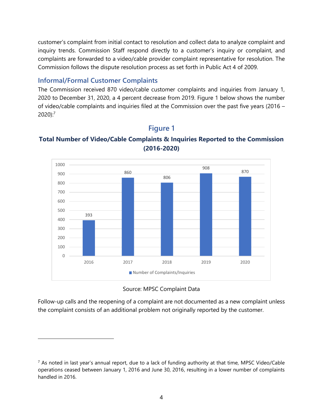customer's complaint from initial contact to resolution and collect data to analyze complaint and inquiry trends. Commission Staff respond directly to a customer's inquiry or complaint, and complaints are forwarded to a video/cable provider complaint representative for resolution. The Commission follows the dispute resolution process as set forth in Public Act 4 of 2009.

## <span id="page-7-0"></span>**Informal/Formal Customer Complaints**

The Commission received 870 video/cable customer complaints and inquiries from January 1, 2020 to December 31, 2020, a 4 percent decrease from 2019. Figure 1 below shows the number of video/cable complaints and inquiries filed at the Commission over the past five years (2016 – 2020): 7



## **Figure 1**

## **Total Number of Video/Cable Complaints & Inquiries Reported to the Commission (2016-2020)**

Source: MPSC Complaint Data

Follow-up calls and the reopening of a complaint are not documented as a new complaint unless the complaint consists of an additional problem not originally reported by the customer.

 $<sup>7</sup>$  As noted in last year's annual report, due to a lack of funding authority at that time, MPSC Video/Cable</sup> operations ceased between January 1, 2016 and June 30, 2016, resulting in a lower number of complaints handled in 2016.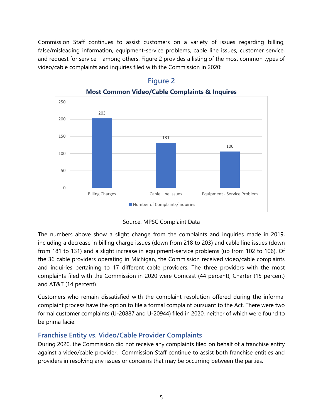Commission Staff continues to assist customers on a variety of issues regarding billing, false/misleading information, equipment-service problems, cable line issues, customer service, and request for service – among others. Figure 2 provides a listing of the most common types of video/cable complaints and inquiries filed with the Commission in 2020:



## **Figure 2**

**Most Common Video/Cable Complaints & Inquires**



The numbers above show a slight change from the complaints and inquiries made in 2019, including a decrease in billing charge issues (down from 218 to 203) and cable line issues (down from 181 to 131) and a slight increase in equipment-service problems (up from 102 to 106). Of the 36 cable providers operating in Michigan, the Commission received video/cable complaints and inquiries pertaining to 17 different cable providers. The three providers with the most complaints filed with the Commission in 2020 were Comcast (44 percent), Charter (15 percent) and AT&T (14 percent).

Customers who remain dissatisfied with the complaint resolution offered during the informal complaint process have the option to file a formal complaint pursuant to the Act. There were two formal customer complaints (U-20887 and U-20944) filed in 2020, neither of which were found to be prima facie.

## <span id="page-8-0"></span>**Franchise Entity vs. Video/Cable Provider Complaints**

During 2020, the Commission did not receive any complaints filed on behalf of a franchise entity against a video/cable provider. Commission Staff continue to assist both franchise entities and providers in resolving any issues or concerns that may be occurring between the parties.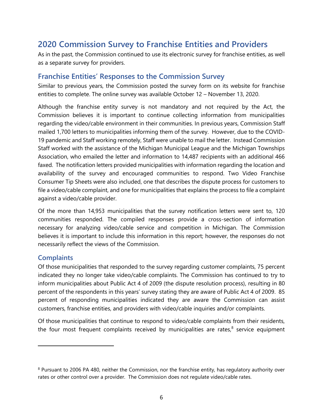# <span id="page-9-0"></span>**2020 Commission Survey to Franchise Entities and Providers**

As in the past, the Commission continued to use its electronic survey for franchise entities, as well as a separate survey for providers.

#### <span id="page-9-1"></span>**Franchise Entities' Responses to the Commission Survey**

Similar to previous years, the Commission posted the survey form on its website for franchise entities to complete. The online survey was available October 12 – November 13, 2020.

Although the franchise entity survey is not mandatory and not required by the Act, the Commission believes it is important to continue collecting information from municipalities regarding the video/cable environment in their communities. In previous years, Commission Staff mailed 1,700 letters to municipalities informing them of the survey. However, due to the COVID-19 pandemic and Staff working remotely, Staff were unable to mail the letter. Instead Commission Staff worked with the assistance of the Michigan Municipal League and the Michigan Townships Association, who emailed the letter and information to 14,487 recipients with an additional 466 faxed. The notification letters provided municipalities with information regarding the location and availability of the survey and encouraged communities to respond. Two Video Franchise Consumer Tip Sheets were also included, one that describes the dispute process for customers to file a video/cable complaint, and one for municipalities that explains the process to file a complaint against a video/cable provider.

Of the more than 14,953 municipalities that the survey notification letters were sent to, 120 communities responded. The compiled responses provide a cross-section of information necessary for analyzing video/cable service and competition in Michigan. The Commission believes it is important to include this information in this report; however, the responses do not necessarily reflect the views of the Commission.

#### <span id="page-9-2"></span>**Complaints**

Of those municipalities that responded to the survey regarding customer complaints, 75 percent indicated they no longer take video/cable complaints. The Commission has continued to try to inform municipalities about Public Act 4 of 2009 (the dispute resolution process), resulting in 80 percent of the respondents in this years' survey stating they are aware of Public Act 4 of 2009. 85 percent of responding municipalities indicated they are aware the Commission can assist customers, franchise entities, and providers with video/cable inquiries and/or complaints.

Of those municipalities that continue to respond to video/cable complaints from their residents, the four most frequent complaints received by municipalities are rates,<sup>8</sup> service equipment

<sup>&</sup>lt;sup>8</sup> Pursuant to 2006 PA 480, neither the Commission, nor the franchise entity, has regulatory authority over rates or other control over a provider. The Commission does not regulate video/cable rates.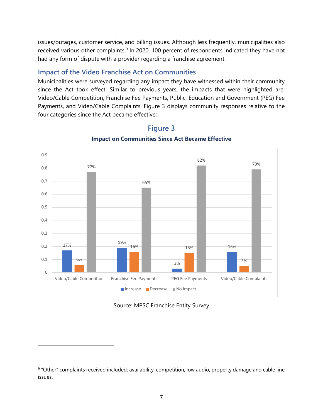issues/outages, customer service, and billing issues. Although less frequently, municipalities also received various other complaints.<sup>9</sup> In 2020, 100 percent of respondents indicated they have not had any form of dispute with a provider regarding a franchise agreement.

### <span id="page-10-0"></span>**Impact of the Video Franchise Act on Communities**

Municipalities were surveyed regarding any impact they have witnessed within their community since the Act took effect. Similar to previous years, the impacts that were highlighted are: Video/Cable Competition, Franchise Fee Payments, Public, Education and Government (PEG) Fee Payments, and Video/Cable Complaints. Figure 3 displays community responses relative to the four categories since the Act became effective:



## **Figure 3 Impact on Communities Since Act Became Effective**

Source: MPSC Franchise Entity Survey

<sup>&</sup>lt;sup>9</sup> "Other" complaints received included: availability, competition, low audio, property damage and cable line issues.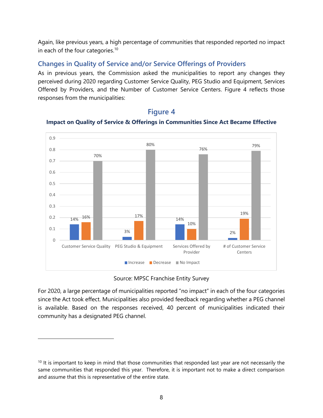Again, like previous years, a high percentage of communities that responded reported no impact in each of the four categories.<sup>10</sup>

#### <span id="page-11-0"></span>**Changes in Quality of Service and/or Service Offerings of Providers**

As in previous years, the Commission asked the municipalities to report any changes they perceived during 2020 regarding Customer Service Quality, PEG Studio and Equipment, Services Offered by Providers, and the Number of Customer Service Centers. Figure 4 reflects those responses from the municipalities:



#### **Figure 4**

#### **Impact on Quality of Service & Offerings in Communities Since Act Became Effective**

Source: MPSC Franchise Entity Survey

For 2020, a large percentage of municipalities reported "no impact" in each of the four categories since the Act took effect. Municipalities also provided feedback regarding whether a PEG channel is available. Based on the responses received, 40 percent of municipalities indicated their community has a designated PEG channel.

 $10$  It is important to keep in mind that those communities that responded last year are not necessarily the same communities that responded this year. Therefore, it is important not to make a direct comparison and assume that this is representative of the entire state.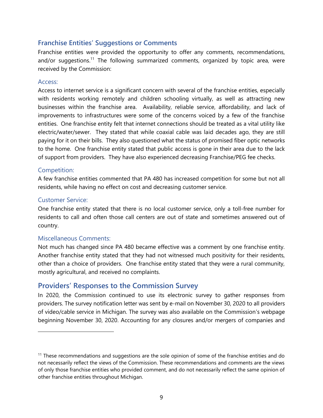#### <span id="page-12-0"></span>**Franchise Entities' Suggestions or Comments**

Franchise entities were provided the opportunity to offer any comments, recommendations, and/or suggestions.<sup>11</sup> The following summarized comments, organized by topic area, were received by the Commission:

#### Access:

Access to internet service is a significant concern with several of the franchise entities, especially with residents working remotely and children schooling virtually, as well as attracting new businesses within the franchise area. Availability, reliable service, affordability, and lack of improvements to infrastructures were some of the concerns voiced by a few of the franchise entities. One franchise entity felt that internet connections should be treated as a vital utility like electric/water/sewer. They stated that while coaxial cable was laid decades ago, they are still paying for it on their bills. They also questioned what the status of promised fiber optic networks to the home. One franchise entity stated that public access is gone in their area due to the lack of support from providers. They have also experienced decreasing Franchise/PEG fee checks.

#### Competition:

A few franchise entities commented that PA 480 has increased competition for some but not all residents, while having no effect on cost and decreasing customer service.

#### Customer Service:

One franchise entity stated that there is no local customer service, only a toll-free number for residents to call and often those call centers are out of state and sometimes answered out of country.

#### Miscellaneous Comments:

Not much has changed since PA 480 became effective was a comment by one franchise entity. Another franchise entity stated that they had not witnessed much positivity for their residents, other than a choice of providers. One franchise entity stated that they were a rural community, mostly agricultural, and received no complaints.

#### <span id="page-12-1"></span>**Providers' Responses to the Commission Survey**

In 2020, the Commission continued to use its electronic survey to gather responses from providers. The survey notification letter was sent by e-mail on November 30, 2020 to all providers of video/cable service in Michigan. The survey was also available on the Commission's webpage beginning November 30, 2020. Accounting for any closures and/or mergers of companies and

 $11$  These recommendations and suggestions are the sole opinion of some of the franchise entities and do not necessarily reflect the views of the Commission. These recommendations and comments are the views of only those franchise entities who provided comment, and do not necessarily reflect the same opinion of other franchise entities throughout Michigan.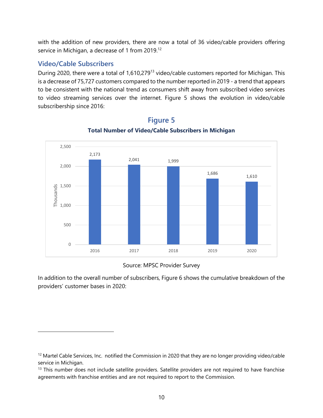with the addition of new providers, there are now a total of 36 video/cable providers offering service in Michigan, a decrease of 1 from 2019.<sup>12</sup>

#### <span id="page-13-0"></span>**Video/Cable Subscribers**

During 2020, there were a total of 1,610,279<sup>13</sup> video/cable customers reported for Michigan. This is a decrease of 75,727 customers compared to the number reported in 2019 - a trend that appears to be consistent with the national trend as consumers shift away from subscribed video services to video streaming services over the internet. Figure 5 shows the evolution in video/cable subscribership since 2016:



# **Figure 5**

#### **Total Number of Video/Cable Subscribers in Michigan**

#### Source: MPSC Provider Survey

In addition to the overall number of subscribers, Figure 6 shows the cumulative breakdown of the providers' customer bases in 2020:

<sup>&</sup>lt;sup>12</sup> Martel Cable Services, Inc. notified the Commission in 2020 that they are no longer providing video/cable service in Michigan.

<sup>&</sup>lt;sup>13</sup> This number does not include satellite providers. Satellite providers are not required to have franchise agreements with franchise entities and are not required to report to the Commission.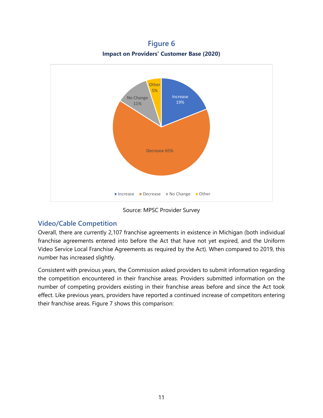**Figure 6 Impact on Providers' Customer Base (2020)**



Source: MPSC Provider Survey

#### <span id="page-14-0"></span>**Video/Cable Competition**

Overall, there are currently 2,107 franchise agreements in existence in Michigan (both individual franchise agreements entered into before the Act that have not yet expired, and the Uniform Video Service Local Franchise Agreements as required by the Act). When compared to 2019, this number has increased slightly.

Consistent with previous years, the Commission asked providers to submit information regarding the competition encountered in their franchise areas. Providers submitted information on the number of competing providers existing in their franchise areas before and since the Act took effect. Like previous years, providers have reported a continued increase of competitors entering their franchise areas. Figure 7 shows this comparison: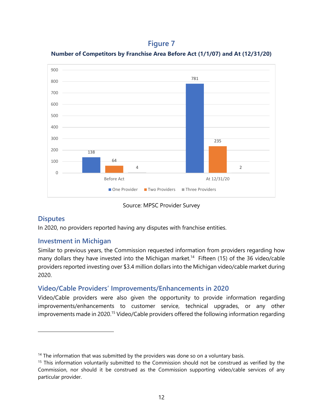## **Figure 7**





#### Source: MPSC Provider Survey

#### <span id="page-15-0"></span>**Disputes**

In 2020, no providers reported having any disputes with franchise entities.

#### <span id="page-15-1"></span>**Investment in Michigan**

Similar to previous years, the Commission requested information from providers regarding how many dollars they have invested into the Michigan market.<sup>14</sup> Fifteen (15) of the 36 video/cable providers reported investing over \$3.4 million dollars into the Michigan video/cable market during 2020.

#### <span id="page-15-2"></span>**Video/Cable Providers' Improvements/Enhancements in 2020**

Video/Cable providers were also given the opportunity to provide information regarding improvements/enhancements to customer service, technical upgrades, or any other improvements made in 2020.<sup>15</sup> Video/Cable providers offered the following information regarding

 $14$  The information that was submitted by the providers was done so on a voluntary basis.

<sup>&</sup>lt;sup>15</sup> This information voluntarily submitted to the Commission should not be construed as verified by the Commission, nor should it be construed as the Commission supporting video/cable services of any particular provider.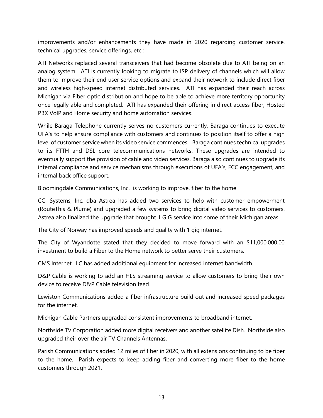improvements and/or enhancements they have made in 2020 regarding customer service, technical upgrades, service offerings, etc.:

ATI Networks replaced several transceivers that had become obsolete due to ATI being on an analog system. ATI is currently looking to migrate to ISP delivery of channels which will allow them to improve their end user service options and expand their network to include direct fiber and wireless high-speed internet distributed services. ATI has expanded their reach across Michigan via Fiber optic distribution and hope to be able to achieve more territory opportunity once legally able and completed. ATI has expanded their offering in direct access fiber, Hosted PBX VoIP and Home security and home automation services.

While Baraga Telephone currently serves no customers currently, Baraga continues to execute UFA's to help ensure compliance with customers and continues to position itself to offer a high level of customer service when its video service commences. Baraga continues technical upgrades to its FTTH and DSL core telecommunications networks. These upgrades are intended to eventually support the provision of cable and video services. Baraga also continues to upgrade its internal compliance and service mechanisms through executions of UFA's, FCC engagement, and internal back office support.

Bloomingdale Communications, Inc. is working to improve. fiber to the home

CCI Systems, Inc. dba Astrea has added two services to help with customer empowerment (RouteThis & Plume) and upgraded a few systems to bring digital video services to customers. Astrea also finalized the upgrade that brought 1 GIG service into some of their Michigan areas.

The City of Norway has improved speeds and quality with 1 gig internet.

The City of Wyandotte stated that they decided to move forward with an \$11,000,000.00 investment to build a Fiber to the Home network to better serve their customers.

CMS Internet LLC has added additional equipment for increased internet bandwidth.

D&P Cable is working to add an HLS streaming service to allow customers to bring their own device to receive D&P Cable television feed.

Lewiston Communications added a fiber infrastructure build out and increased speed packages for the internet.

Michigan Cable Partners upgraded consistent improvements to broadband internet.

Northside TV Corporation added more digital receivers and another satellite Dish. Northside also upgraded their over the air TV Channels Antennas.

Parish Communications added 12 miles of fiber in 2020, with all extensions continuing to be fiber to the home. Parish expects to keep adding fiber and converting more fiber to the home customers through 2021.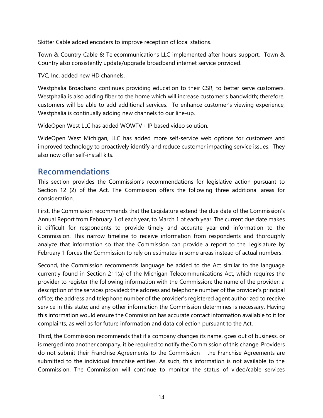Skitter Cable added encoders to improve reception of local stations.

Town & Country Cable & Telecommunications LLC implemented after hours support. Town & Country also consistently update/upgrade broadband internet service provided.

TVC, Inc. added new HD channels.

Westphalia Broadband continues providing education to their CSR, to better serve customers. Westphalia is also adding fiber to the home which will increase customer's bandwidth; therefore, customers will be able to add additional services. To enhance customer's viewing experience, Westphalia is continually adding new channels to our line-up.

WideOpen West LLC has added WOWTV+ IP based video solution.

WideOpen West Michigan, LLC has added more self-service web options for customers and improved technology to proactively identify and reduce customer impacting service issues. They also now offer self-install kits.

## <span id="page-17-0"></span>**Recommendations**

This section provides the Commission's recommendations for legislative action pursuant to Section 12 (2) of the Act. The Commission offers the following three additional areas for consideration.

First, the Commission recommends that the Legislature extend the due date of the Commission's Annual Report from February 1 of each year, to March 1 of each year. The current due date makes it difficult for respondents to provide timely and accurate year-end information to the Commission. This narrow timeline to receive information from respondents and thoroughly analyze that information so that the Commission can provide a report to the Legislature by February 1 forces the Commission to rely on estimates in some areas instead of actual numbers.

Second, the Commission recommends language be added to the Act similar to the language currently found in Section 211(a) of the Michigan Telecommunications Act, which requires the provider to register the following information with the Commission: the name of the provider; a description of the services provided; the address and telephone number of the provider's principal office; the address and telephone number of the provider's registered agent authorized to receive service in this state; and any other information the Commission determines is necessary. Having this information would ensure the Commission has accurate contact information available to it for complaints, as well as for future information and data collection pursuant to the Act.

Third, the Commission recommends that if a company changes its name, goes out of business, or is merged into another company, it be required to notify the Commission of this change. Providers do not submit their Franchise Agreements to the Commission – the Franchise Agreements are submitted to the individual franchise entities. As such, this information is not available to the Commission. The Commission will continue to monitor the status of video/cable services